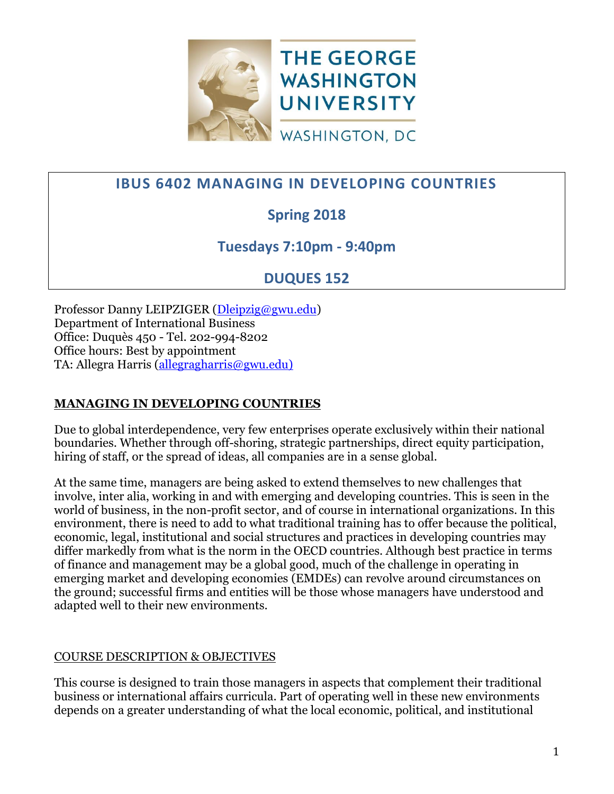

# **IBUS 6402 MANAGING IN DEVELOPING COUNTRIES**

# **Spring 2018**

# **Tuesdays 7:10pm - 9:40pm**

# **DUQUES 152**

Professor Danny LEIPZIGER [\(Dleipzig@gwu.edu\)](mailto:dleipzig@gwu.edu?subject=IBUS%206402%20Managing%20in%20Developing%20Countires) Department of International Business Office: Duquès 450 - Tel. 202-994-8202 Office hours: Best by appointment TA: Allegra Harris [\(allegragharris@gwu.edu\)](mailto:allegragharris@gwu.edu))

# **MANAGING IN DEVELOPING COUNTRIES**

Due to global interdependence, very few enterprises operate exclusively within their national boundaries. Whether through off-shoring, strategic partnerships, direct equity participation, hiring of staff, or the spread of ideas, all companies are in a sense global.

At the same time, managers are being asked to extend themselves to new challenges that involve, inter alia, working in and with emerging and developing countries. This is seen in the world of business, in the non-profit sector, and of course in international organizations. In this environment, there is need to add to what traditional training has to offer because the political, economic, legal, institutional and social structures and practices in developing countries may differ markedly from what is the norm in the OECD countries. Although best practice in terms of finance and management may be a global good, much of the challenge in operating in emerging market and developing economies (EMDEs) can revolve around circumstances on the ground; successful firms and entities will be those whose managers have understood and adapted well to their new environments.

# COURSE DESCRIPTION & OBJECTIVES

This course is designed to train those managers in aspects that complement their traditional business or international affairs curricula. Part of operating well in these new environments depends on a greater understanding of what the local economic, political, and institutional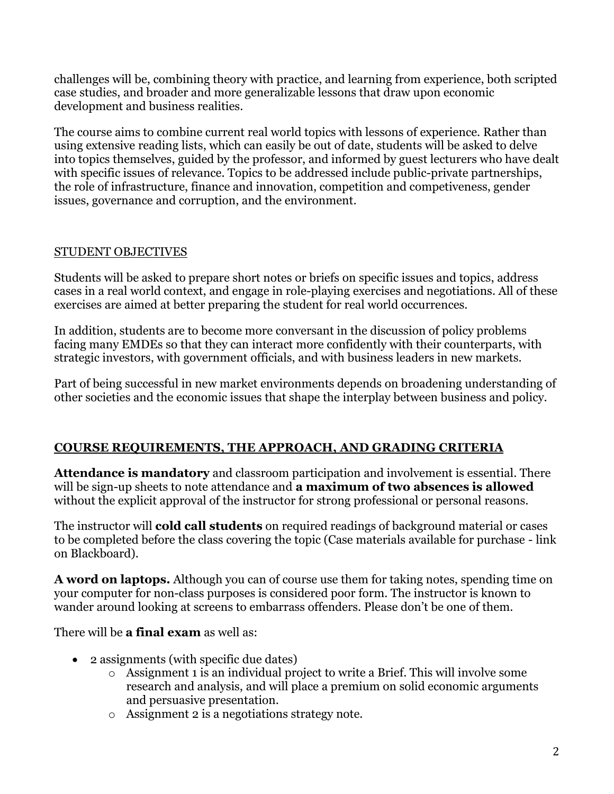challenges will be, combining theory with practice, and learning from experience, both scripted case studies, and broader and more generalizable lessons that draw upon economic development and business realities.

The course aims to combine current real world topics with lessons of experience. Rather than using extensive reading lists, which can easily be out of date, students will be asked to delve into topics themselves, guided by the professor, and informed by guest lecturers who have dealt with specific issues of relevance. Topics to be addressed include public-private partnerships, the role of infrastructure, finance and innovation, competition and competiveness, gender issues, governance and corruption, and the environment.

# STUDENT OBJECTIVES

Students will be asked to prepare short notes or briefs on specific issues and topics, address cases in a real world context, and engage in role-playing exercises and negotiations. All of these exercises are aimed at better preparing the student for real world occurrences.

In addition, students are to become more conversant in the discussion of policy problems facing many EMDEs so that they can interact more confidently with their counterparts, with strategic investors, with government officials, and with business leaders in new markets.

Part of being successful in new market environments depends on broadening understanding of other societies and the economic issues that shape the interplay between business and policy.

#### **COURSE REQUIREMENTS, THE APPROACH, AND GRADING CRITERIA**

**Attendance is mandatory** and classroom participation and involvement is essential. There will be sign-up sheets to note attendance and **a maximum of two absences is allowed**  without the explicit approval of the instructor for strong professional or personal reasons.

The instructor will **cold call students** on required readings of background material or cases to be completed before the class covering the topic (Case materials available for purchase - link on Blackboard).

**A word on laptops.** Although you can of course use them for taking notes, spending time on your computer for non-class purposes is considered poor form. The instructor is known to wander around looking at screens to embarrass offenders. Please don't be one of them.

There will be **a final exam** as well as:

- 2 assignments (with specific due dates)
	- o Assignment 1 is an individual project to write a Brief. This will involve some research and analysis, and will place a premium on solid economic arguments and persuasive presentation.
	- o Assignment 2 is a negotiations strategy note.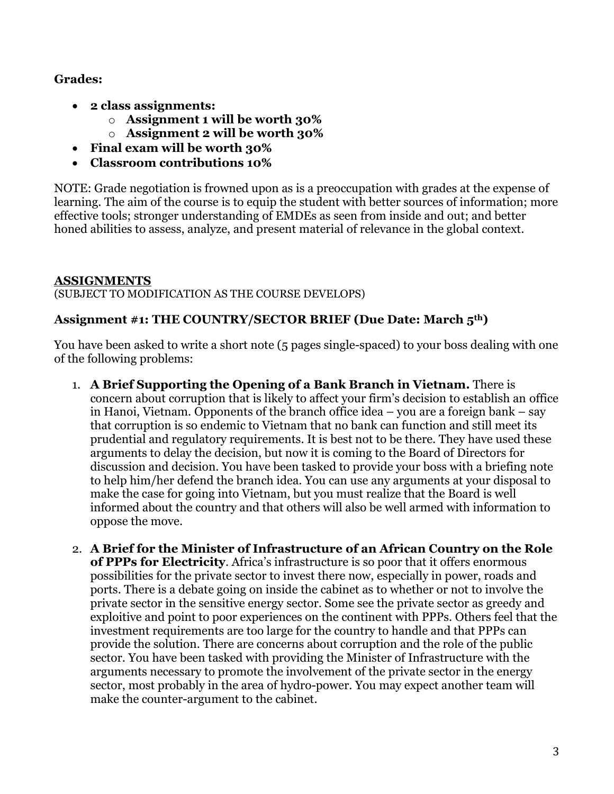#### **Grades:**

- **2 class assignments:**
	- o **Assignment 1 will be worth 30%**
	- o **Assignment 2 will be worth 30%**
- **Final exam will be worth 30%**
- **Classroom contributions 10%**

NOTE: Grade negotiation is frowned upon as is a preoccupation with grades at the expense of learning. The aim of the course is to equip the student with better sources of information; more effective tools; stronger understanding of EMDEs as seen from inside and out; and better honed abilities to assess, analyze, and present material of relevance in the global context.

## **ASSIGNMENTS**

(SUBJECT TO MODIFICATION AS THE COURSE DEVELOPS)

## **Assignment #1: THE COUNTRY/SECTOR BRIEF (Due Date: March 5th)**

You have been asked to write a short note (5 pages single-spaced) to your boss dealing with one of the following problems:

- 1. **A Brief Supporting the Opening of a Bank Branch in Vietnam.** There is concern about corruption that is likely to affect your firm's decision to establish an office in Hanoi, Vietnam. Opponents of the branch office idea – you are a foreign bank – say that corruption is so endemic to Vietnam that no bank can function and still meet its prudential and regulatory requirements. It is best not to be there. They have used these arguments to delay the decision, but now it is coming to the Board of Directors for discussion and decision. You have been tasked to provide your boss with a briefing note to help him/her defend the branch idea. You can use any arguments at your disposal to make the case for going into Vietnam, but you must realize that the Board is well informed about the country and that others will also be well armed with information to oppose the move.
- 2. **A Brief for the Minister of Infrastructure of an African Country on the Role of PPPs for Electricity**. Africa's infrastructure is so poor that it offers enormous possibilities for the private sector to invest there now, especially in power, roads and ports. There is a debate going on inside the cabinet as to whether or not to involve the private sector in the sensitive energy sector. Some see the private sector as greedy and exploitive and point to poor experiences on the continent with PPPs. Others feel that the investment requirements are too large for the country to handle and that PPPs can provide the solution. There are concerns about corruption and the role of the public sector. You have been tasked with providing the Minister of Infrastructure with the arguments necessary to promote the involvement of the private sector in the energy sector, most probably in the area of hydro-power. You may expect another team will make the counter-argument to the cabinet.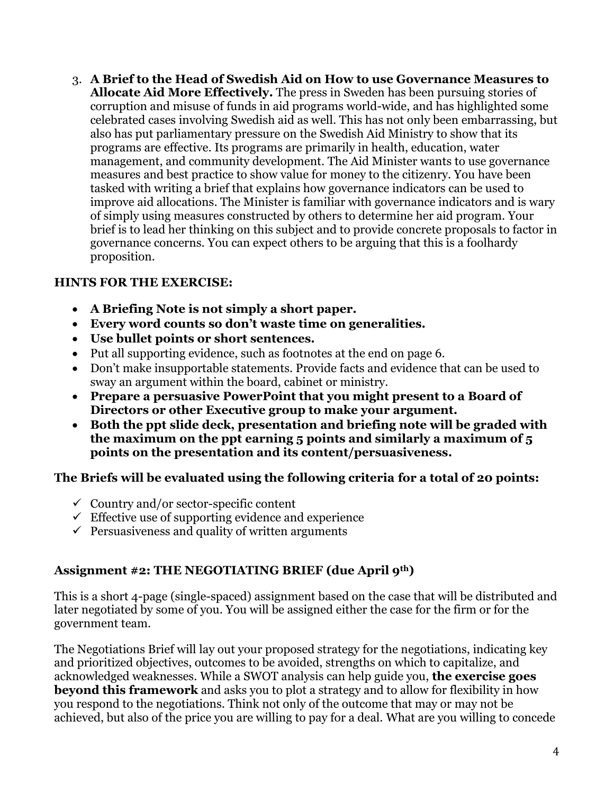3. **A Brief to the Head of Swedish Aid on How to use Governance Measures to Allocate Aid More Effectively.** The press in Sweden has been pursuing stories of corruption and misuse of funds in aid programs world-wide, and has highlighted some celebrated cases involving Swedish aid as well. This has not only been embarrassing, but also has put parliamentary pressure on the Swedish Aid Ministry to show that its programs are effective. Its programs are primarily in health, education, water management, and community development. The Aid Minister wants to use governance measures and best practice to show value for money to the citizenry. You have been tasked with writing a brief that explains how governance indicators can be used to improve aid allocations. The Minister is familiar with governance indicators and is wary of simply using measures constructed by others to determine her aid program. Your brief is to lead her thinking on this subject and to provide concrete proposals to factor in governance concerns. You can expect others to be arguing that this is a foolhardy proposition.

## **HINTS FOR THE EXERCISE:**

- **A Briefing Note is not simply a short paper.**
- **Every word counts so don't waste time on generalities.**
- **Use bullet points or short sentences.**
- Put all supporting evidence, such as footnotes at the end on page 6.
- Don't make insupportable statements. Provide facts and evidence that can be used to sway an argument within the board, cabinet or ministry.
- **Prepare a persuasive PowerPoint that you might present to a Board of Directors or other Executive group to make your argument.**
- **Both the ppt slide deck, presentation and briefing note will be graded with the maximum on the ppt earning 5 points and similarly a maximum of 5 points on the presentation and its content/persuasiveness.**

#### **The Briefs will be evaluated using the following criteria for a total of 20 points:**

- $\checkmark$  Country and/or sector-specific content
- $\checkmark$  Effective use of supporting evidence and experience
- $\checkmark$  Persuasiveness and quality of written arguments

#### **Assignment #2: THE NEGOTIATING BRIEF (due April 9th)**

This is a short 4-page (single-spaced) assignment based on the case that will be distributed and later negotiated by some of you. You will be assigned either the case for the firm or for the government team.

The Negotiations Brief will lay out your proposed strategy for the negotiations, indicating key and prioritized objectives, outcomes to be avoided, strengths on which to capitalize, and acknowledged weaknesses. While a SWOT analysis can help guide you, **the exercise goes beyond this framework** and asks you to plot a strategy and to allow for flexibility in how you respond to the negotiations. Think not only of the outcome that may or may not be achieved, but also of the price you are willing to pay for a deal. What are you willing to concede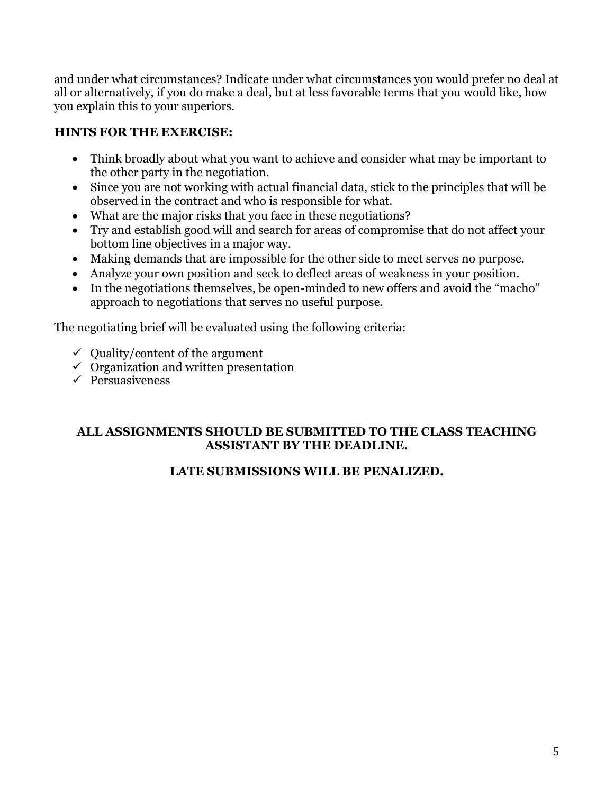and under what circumstances? Indicate under what circumstances you would prefer no deal at all or alternatively, if you do make a deal, but at less favorable terms that you would like, how you explain this to your superiors.

# **HINTS FOR THE EXERCISE:**

- Think broadly about what you want to achieve and consider what may be important to the other party in the negotiation.
- Since you are not working with actual financial data, stick to the principles that will be observed in the contract and who is responsible for what.
- What are the major risks that you face in these negotiations?
- Try and establish good will and search for areas of compromise that do not affect your bottom line objectives in a major way.
- Making demands that are impossible for the other side to meet serves no purpose.
- Analyze your own position and seek to deflect areas of weakness in your position.
- In the negotiations themselves, be open-minded to new offers and avoid the "macho" approach to negotiations that serves no useful purpose.

The negotiating brief will be evaluated using the following criteria:

- $\checkmark$  Ouality/content of the argument
- $\checkmark$  Organization and written presentation
- $\checkmark$  Persuasiveness

#### **ALL ASSIGNMENTS SHOULD BE SUBMITTED TO THE CLASS TEACHING ASSISTANT BY THE DEADLINE.**

# **LATE SUBMISSIONS WILL BE PENALIZED.**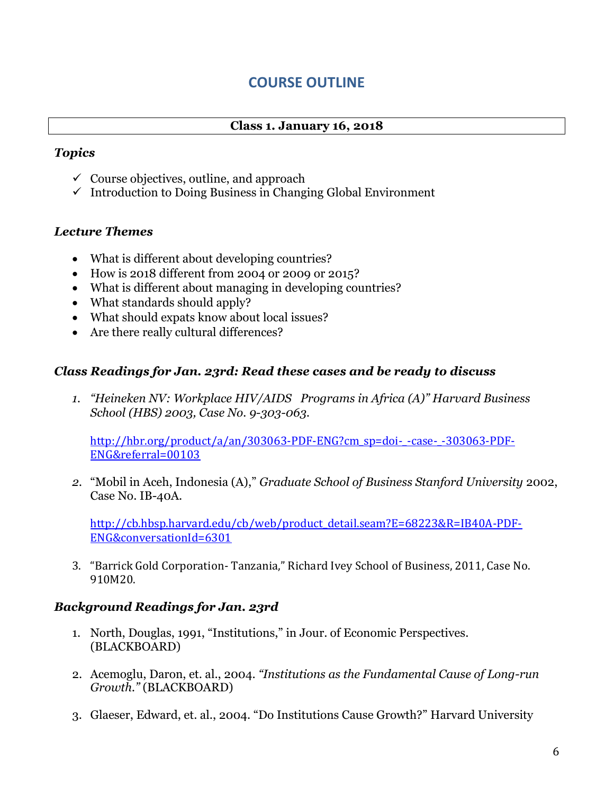# **COURSE OUTLINE**

#### **Class 1. January 16, 2018**

#### *Topics*

- $\checkmark$  Course objectives, outline, and approach
- $\checkmark$  Introduction to Doing Business in Changing Global Environment

#### *Lecture Themes*

- What is different about developing countries?
- How is 2018 different from 2004 or 2009 or 2015?
- What is different about managing in developing countries?
- What standards should apply?
- What should expats know about local issues?
- Are there really cultural differences?

#### *Class Readings for Jan. 23rd: Read these cases and be ready to discuss*

*1. "Heineken NV: Workplace HIV/AIDS Programs in Africa (A)" Harvard Business School (HBS) 2003, Case No. 9-303-063.* 

[http://hbr.org/product/a/an/303063-PDF-ENG?cm\\_sp=doi-\\_-case-\\_-303063-PDF-](http://hbr.org/product/a/an/303063-PDF-ENG?cm_sp=doi-_-case-_-303063-PDF-ENG&referral=00103)[ENG&referral=00103](http://hbr.org/product/a/an/303063-PDF-ENG?cm_sp=doi-_-case-_-303063-PDF-ENG&referral=00103)

*2.* "Mobil in Aceh, Indonesia (A)," *Graduate School of Business Stanford University* 2002, Case No. IB-40A.

[http://cb.hbsp.harvard.edu/cb/web/product\\_detail.seam?E=68223&R=IB40A-PDF-](http://cb.hbsp.harvard.edu/cb/web/product_detail.seam?E=68223&R=IB40A-PDF-ENG&conversationId=6301)[ENG&conversationId=6301](http://cb.hbsp.harvard.edu/cb/web/product_detail.seam?E=68223&R=IB40A-PDF-ENG&conversationId=6301)

3. "Barrick Gold Corporation- Tanzania," Richard Ivey School of Business, 2011, Case No. 910M20.

#### *Background Readings for Jan. 23rd*

- 1. North, Douglas, 1991, "Institutions," in Jour. of Economic Perspectives. (BLACKBOARD)
- 2. Acemoglu, Daron, et. al., 2004. *"Institutions as the Fundamental Cause of Long-run Growth."* (BLACKBOARD)
- 3. Glaeser, Edward, et. al., 2004. "Do Institutions Cause Growth?" Harvard University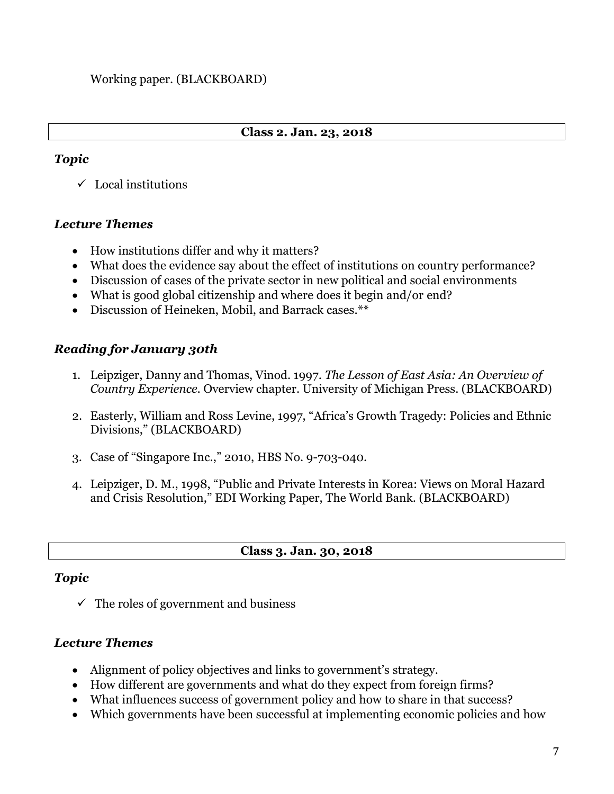#### **Class 2. Jan. 23, 2018**

#### *Topic*

 $\checkmark$  Local institutions

## *Lecture Themes*

- How institutions differ and why it matters?
- What does the evidence say about the effect of institutions on country performance?
- Discussion of cases of the private sector in new political and social environments
- What is good global citizenship and where does it begin and/or end?
- Discussion of Heineken, Mobil, and Barrack cases.\*\*

# *Reading for January 30th*

- 1. Leipziger, Danny and Thomas, Vinod. 1997. *The Lesson of East Asia: An Overview of Country Experience.* Overview chapter. University of Michigan Press. (BLACKBOARD)
- 2. Easterly, William and Ross Levine, 1997, "Africa's Growth Tragedy: Policies and Ethnic Divisions," (BLACKBOARD)
- 3. Case of "Singapore Inc.," 2010, HBS No. 9-703-040.
- 4. Leipziger, D. M., 1998, "Public and Private Interests in Korea: Views on Moral Hazard and Crisis Resolution," EDI Working Paper, The World Bank. (BLACKBOARD)

#### **Class 3. Jan. 30, 2018**

# *Topic*

 $\checkmark$  The roles of government and business

# *Lecture Themes*

- Alignment of policy objectives and links to government's strategy.
- How different are governments and what do they expect from foreign firms?
- What influences success of government policy and how to share in that success?
- Which governments have been successful at implementing economic policies and how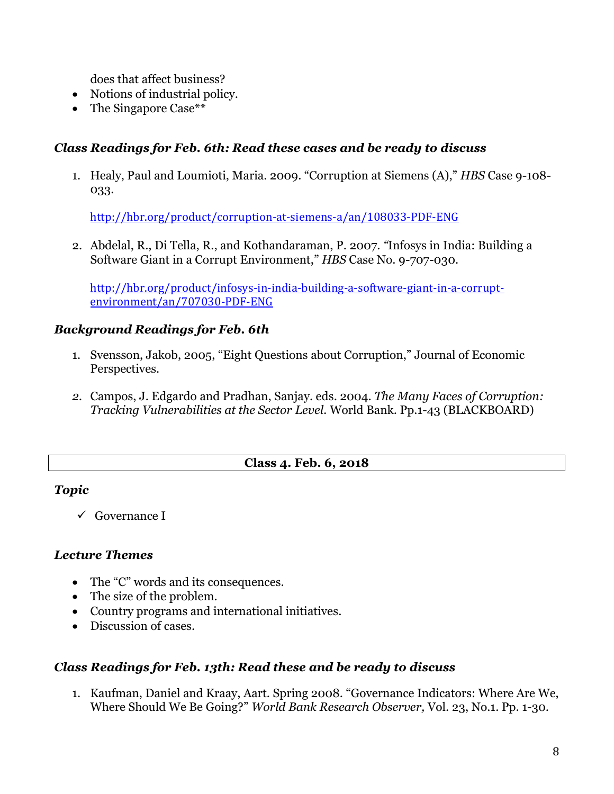does that affect business?

- Notions of industrial policy.
- The Singapore Case\*\*

#### *Class Readings for Feb. 6th: Read these cases and be ready to discuss*

1. Healy, Paul and Loumioti, Maria. 2009. "Corruption at Siemens (A)," *HBS* Case 9-108- 033.

<http://hbr.org/product/corruption-at-siemens-a/an/108033-PDF-ENG>

2. Abdelal, R., Di Tella, R., and Kothandaraman, P. 2007. *"*Infosys in India: Building a Software Giant in a Corrupt Environment," *HBS* Case No. 9-707-030.

[http://hbr.org/product/infosys-in-india-building-a-software-giant-in-a-corrupt](http://hbr.org/product/infosys-in-india-building-a-software-giant-in-a-corrupt-environment/an/707030-PDF-ENG)[environment/an/707030-PDF-ENG](http://hbr.org/product/infosys-in-india-building-a-software-giant-in-a-corrupt-environment/an/707030-PDF-ENG)

## *Background Readings for Feb. 6th*

- 1. Svensson, Jakob, 2005, "Eight Questions about Corruption," Journal of Economic Perspectives.
- *2.* Campos, J. Edgardo and Pradhan, Sanjay. eds. 2004. *The Many Faces of Corruption: Tracking Vulnerabilities at the Sector Level.* World Bank. Pp.1-43 (BLACKBOARD)

#### **Class 4. Feb. 6, 2018**

#### *Topic*

 $\checkmark$  Governance I

#### *Lecture Themes*

- The "C" words and its consequences.
- The size of the problem.
- Country programs and international initiatives.
- Discussion of cases.

#### *Class Readings for Feb. 13th: Read these and be ready to discuss*

1. Kaufman, Daniel and Kraay, Aart. Spring 2008. "Governance Indicators: Where Are We, Where Should We Be Going?" *World Bank Research Observer,* Vol. 23, No.1. Pp. 1-30.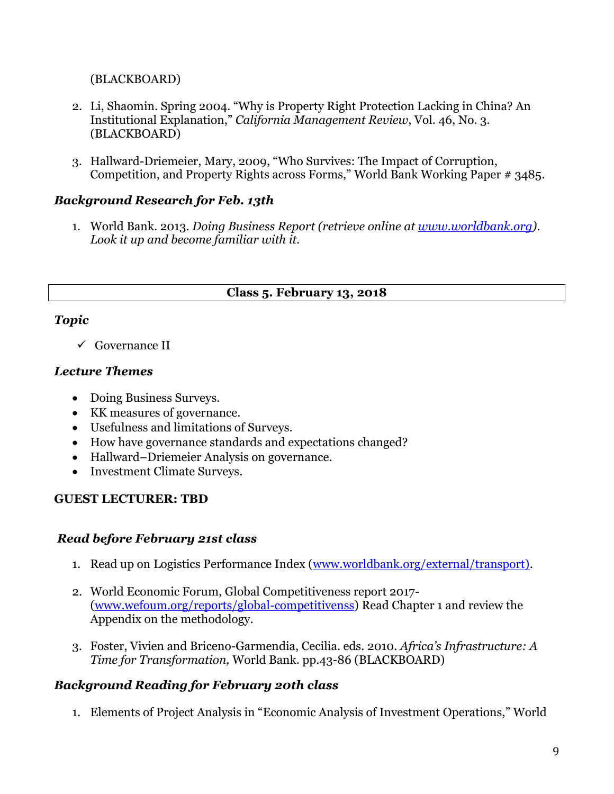(BLACKBOARD)

- 2. Li, Shaomin. Spring 2004. "Why is Property Right Protection Lacking in China? An Institutional Explanation," *California Management Review*, Vol. 46, No. 3. (BLACKBOARD)
- 3. Hallward-Driemeier, Mary, 2009, "Who Survives: The Impact of Corruption, Competition, and Property Rights across Forms," World Bank Working Paper # 3485.

## *Background Research for Feb. 13th*

1. World Bank. 2013. *Doing Business Report (retrieve online at [www.worldbank.org\)](http://www.worldbank.org/). Look it up and become familiar with it.*

## **Class 5. February 13, 2018**

#### *Topic*

 $\checkmark$  Governance II

## *Lecture Themes*

- Doing Business Surveys.
- KK measures of governance.
- Usefulness and limitations of Surveys.
- How have governance standards and expectations changed?
- Hallward–Driemeier Analysis on governance.
- Investment Climate Surveys.

# **GUEST LECTURER: TBD**

# *Read before February 21st class*

- 1. Read up on Logistics Performance Index [\(www.worldbank.org/external/transport\).](http://www.worldbank.org/external/transport))
- 2. World Economic Forum, Global Competitiveness report 2017- [\(www.wefoum.org/reports/global-competitivenss\)](http://www.wefoum.org/reports/global-competitivenss) Read Chapter 1 and review the Appendix on the methodology.
- 3. Foster, Vivien and Briceno-Garmendia, Cecilia. eds. 2010. *Africa's Infrastructure: A Time for Transformation,* World Bank. pp.43-86 (BLACKBOARD)

# *Background Reading for February 20th class*

1. Elements of Project Analysis in "Economic Analysis of Investment Operations," World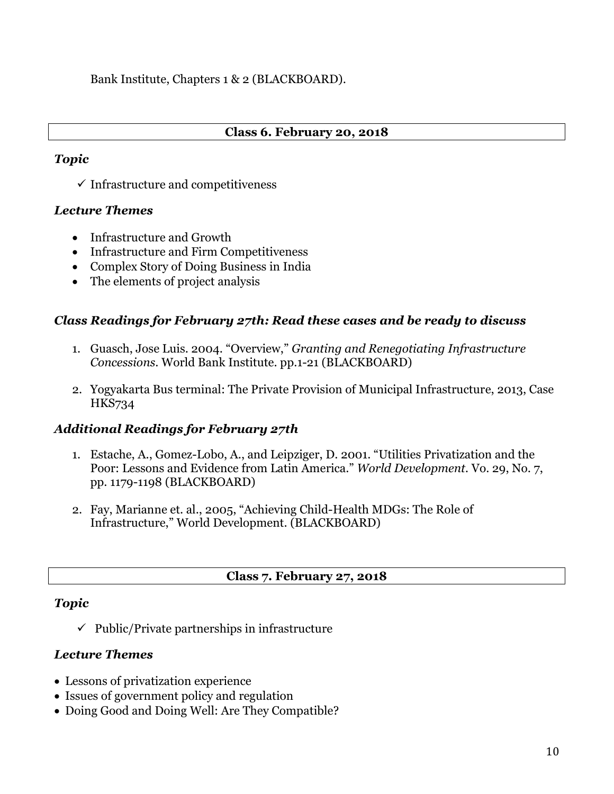Bank Institute, Chapters 1 & 2 (BLACKBOARD).

#### **Class 6. February 20, 2018**

#### *Topic*

 $\checkmark$  Infrastructure and competitiveness

## *Lecture Themes*

- Infrastructure and Growth
- Infrastructure and Firm Competitiveness
- Complex Story of Doing Business in India
- The elements of project analysis

## *Class Readings for February 27th: Read these cases and be ready to discuss*

- 1. Guasch, Jose Luis. 2004. "Overview," *Granting and Renegotiating Infrastructure Concessions*. World Bank Institute. pp.1-21 (BLACKBOARD)
- 2. Yogyakarta Bus terminal: The Private Provision of Municipal Infrastructure, 2013, Case HKS734

# *Additional Readings for February 27th*

- 1. Estache, A., Gomez-Lobo, A., and Leipziger, D. 2001. "Utilities Privatization and the Poor: Lessons and Evidence from Latin America." *World Development.* Vo. 29, No. 7, pp. 1179-1198 (BLACKBOARD)
- 2. Fay, Marianne et. al., 2005, "Achieving Child-Health MDGs: The Role of Infrastructure," World Development. (BLACKBOARD)

#### **Class 7. February 27, 2018**

#### *Topic*

 $\checkmark$  Public/Private partnerships in infrastructure

#### *Lecture Themes*

- Lessons of privatization experience
- Issues of government policy and regulation
- Doing Good and Doing Well: Are They Compatible?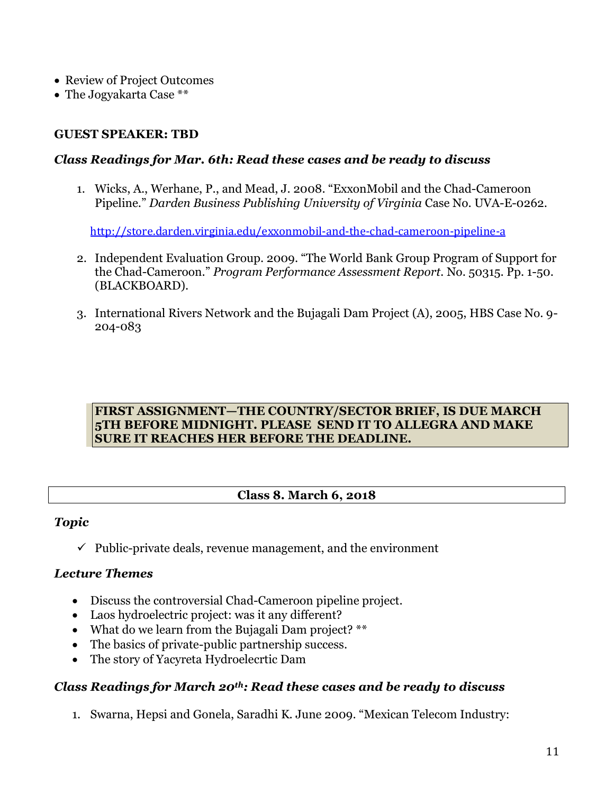- Review of Project Outcomes
- The Jogyakarta Case \*\*

#### **GUEST SPEAKER: TBD**

#### *Class Readings for Mar. 6th: Read these cases and be ready to discuss*

1. Wicks, A., Werhane, P., and Mead, J. 2008. "ExxonMobil and the Chad-Cameroon Pipeline." *Darden Business Publishing University of Virginia* Case No. UVA-E-0262.

<http://store.darden.virginia.edu/exxonmobil-and-the-chad-cameroon-pipeline-a>

- 2. Independent Evaluation Group. 2009. "The World Bank Group Program of Support for the Chad-Cameroon." *Program Performance Assessment Report.* No. 50315. Pp. 1-50. (BLACKBOARD).
- 3. International Rivers Network and the Bujagali Dam Project (A), 2005, HBS Case No. 9- 204-083

#### **FIRST ASSIGNMENT—THE COUNTRY/SECTOR BRIEF, IS DUE MARCH 5TH BEFORE MIDNIGHT. PLEASE SEND IT TO ALLEGRA AND MAKE SURE IT REACHES HER BEFORE THE DEADLINE.**

#### **Class 8. March 6, 2018**

#### *Topic*

 $\checkmark$  Public-private deals, revenue management, and the environment

#### *Lecture Themes*

- Discuss the controversial Chad-Cameroon pipeline project.
- Laos hydroelectric project: was it any different?
- What do we learn from the Bujagali Dam project? \*\*
- The basics of private-public partnership success.
- The story of Yacyreta Hydroelecrtic Dam

#### *Class Readings for March 20th: Read these cases and be ready to discuss*

1. Swarna, Hepsi and Gonela, Saradhi K. June 2009. "Mexican Telecom Industry: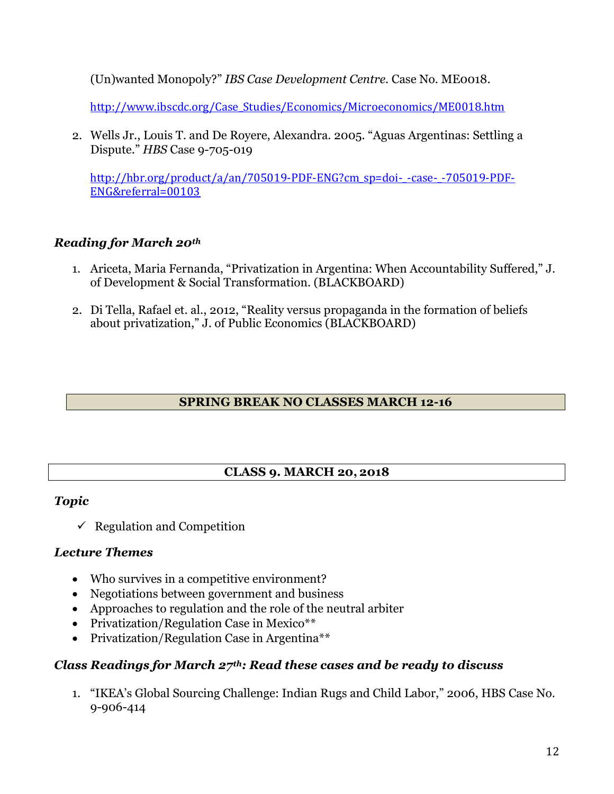(Un)wanted Monopoly?" *IBS Case Development Centre.* Case No. ME0018.

[http://www.ibscdc.org/Case\\_Studies/Economics/Microeconomics/ME0018.htm](http://www.ibscdc.org/Case_Studies/Economics/Microeconomics/ME0018.htm)

2. Wells Jr., Louis T. and De Royere, Alexandra. 2005. "Aguas Argentinas: Settling a Dispute." *HBS* Case 9-705-019

[http://hbr.org/product/a/an/705019-PDF-ENG?cm\\_sp=doi-\\_-case-\\_-705019-PDF-](http://hbr.org/product/a/an/705019-PDF-ENG?cm_sp=doi-_-case-_-705019-PDF-ENG&referral=00103)[ENG&referral=00103](http://hbr.org/product/a/an/705019-PDF-ENG?cm_sp=doi-_-case-_-705019-PDF-ENG&referral=00103)

# *Reading for March 20th*

- 1. Ariceta, Maria Fernanda, "Privatization in Argentina: When Accountability Suffered," J. of Development & Social Transformation. (BLACKBOARD)
- 2. Di Tella, Rafael et. al., 2012, "Reality versus propaganda in the formation of beliefs about privatization," J. of Public Economics (BLACKBOARD)

## **SPRING BREAK NO CLASSES MARCH 12-16**

# **CLASS 9. MARCH 20, 2018**

#### *Topic*

 $\checkmark$  Regulation and Competition

#### *Lecture Themes*

- Who survives in a competitive environment?
- Negotiations between government and business
- Approaches to regulation and the role of the neutral arbiter
- Privatization/Regulation Case in Mexico\*\*
- Privatization/Regulation Case in Argentina\*\*

# *Class Readings for March 27th: Read these cases and be ready to discuss*

1. "IKEA's Global Sourcing Challenge: Indian Rugs and Child Labor," 2006, HBS Case No. 9-906-414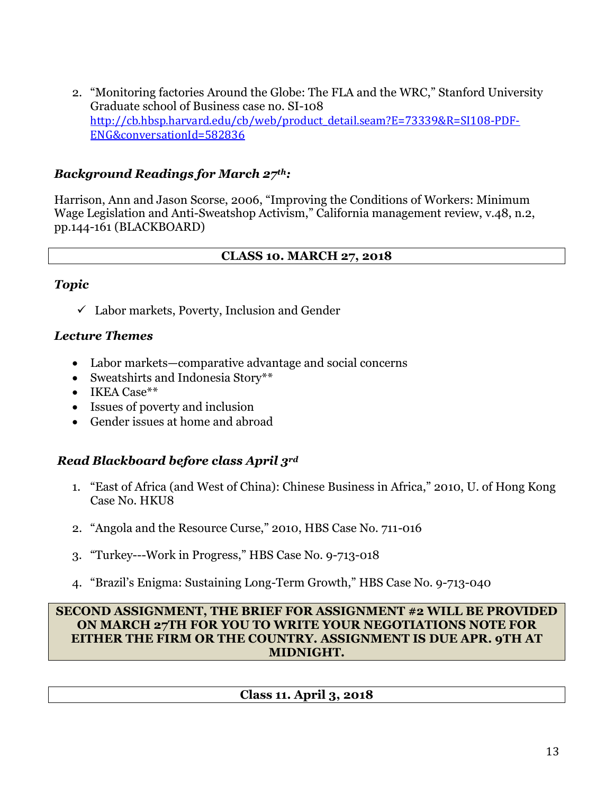2. "Monitoring factories Around the Globe: The FLA and the WRC," Stanford University Graduate school of Business case no. SI-108 [http://cb.hbsp.harvard.edu/cb/web/product\\_detail.seam?E=73339&R=SI108-PDF-](http://cb.hbsp.harvard.edu/cb/web/product_detail.seam?E=73339&R=SI108-PDF-ENG&conversationId=582836)[ENG&conversationId=582836](http://cb.hbsp.harvard.edu/cb/web/product_detail.seam?E=73339&R=SI108-PDF-ENG&conversationId=582836)

## *Background Readings for March 27th:*

Harrison, Ann and Jason Scorse, 2006, "Improving the Conditions of Workers: Minimum Wage Legislation and Anti-Sweatshop Activism," California management review, v.48, n.2, pp.144-161 (BLACKBOARD)

## **CLASS 10. MARCH 27, 2018**

#### *Topic*

 $\checkmark$  Labor markets, Poverty, Inclusion and Gender

## *Lecture Themes*

- Labor markets—comparative advantage and social concerns
- Sweatshirts and Indonesia Story\*\*
- IKEA Case\*\*
- Issues of poverty and inclusion
- Gender issues at home and abroad

# *Read Blackboard before class April 3rd*

- 1. "East of Africa (and West of China): Chinese Business in Africa," 2010, U. of Hong Kong Case No. HKU8
- 2. "Angola and the Resource Curse," 2010, HBS Case No. 711-016
- 3. "Turkey---Work in Progress," HBS Case No. 9-713-018
- 4. "Brazil's Enigma: Sustaining Long-Term Growth," HBS Case No. 9-713-040

#### **SECOND ASSIGNMENT, THE BRIEF FOR ASSIGNMENT #2 WILL BE PROVIDED ON MARCH 27TH FOR YOU TO WRITE YOUR NEGOTIATIONS NOTE FOR EITHER THE FIRM OR THE COUNTRY. ASSIGNMENT IS DUE APR. 9TH AT MIDNIGHT.**

#### **Class 11. April 3, 2018**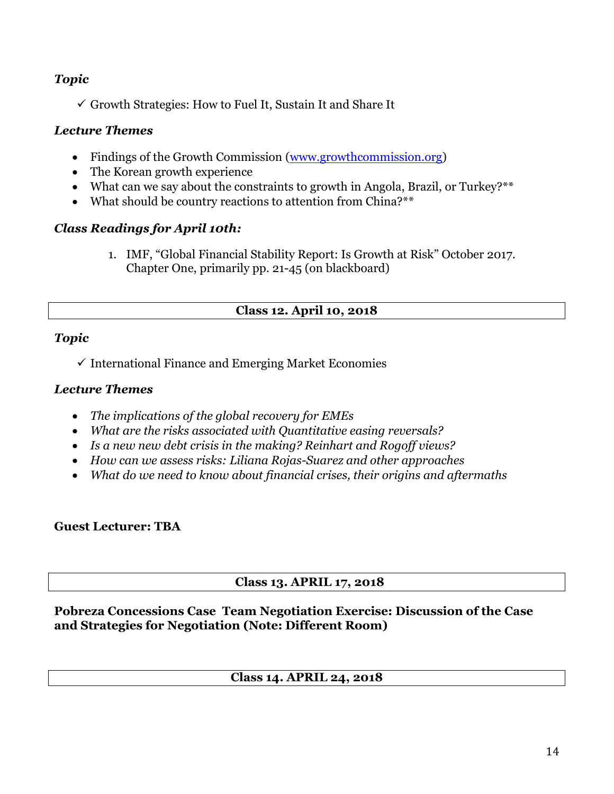## *Topic*

 $\checkmark$  Growth Strategies: How to Fuel It, Sustain It and Share It

#### *Lecture Themes*

- Findings of the Growth Commission [\(www.growthcommission.org\)](http://www.growthcommission.org/)
- The Korean growth experience
- What can we say about the constraints to growth in Angola, Brazil, or Turkey?\*\*
- What should be country reactions to attention from China?\*\*

## *Class Readings for April 10th:*

1. IMF, "Global Financial Stability Report: Is Growth at Risk" October 2017. Chapter One, primarily pp. 21-45 (on blackboard)

#### **Class 12. April 10, 2018**

#### *Topic*

 $\checkmark$  International Finance and Emerging Market Economies

#### *Lecture Themes*

- *The implications of the global recovery for EMEs*
- *What are the risks associated with Quantitative easing reversals?*
- *Is a new new debt crisis in the making? Reinhart and Rogoff views?*
- *How can we assess risks: Liliana Rojas-Suarez and other approaches*
- *What do we need to know about financial crises, their origins and aftermaths*

#### **Guest Lecturer: TBA**

#### **Class 13. APRIL 17, 2018**

#### **Pobreza Concessions Case Team Negotiation Exercise: Discussion of the Case and Strategies for Negotiation (Note: Different Room)**

#### **Class 14. APRIL 24, 2018**